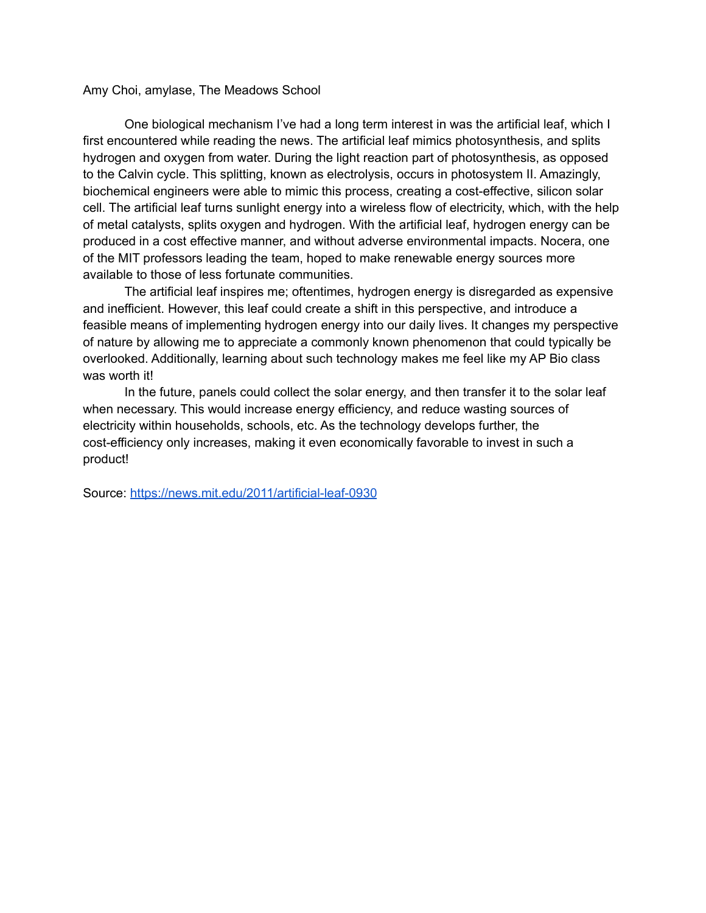## Amy Choi, amylase, The Meadows School

One biological mechanism I've had a long term interest in was the artificial leaf, which I first encountered while reading the news. The artificial leaf mimics photosynthesis, and splits hydrogen and oxygen from water. During the light reaction part of photosynthesis, as opposed to the Calvin cycle. This splitting, known as electrolysis, occurs in photosystem II. Amazingly, biochemical engineers were able to mimic this process, creating a cost-effective, silicon solar cell. The artificial leaf turns sunlight energy into a wireless flow of electricity, which, with the help of metal catalysts, splits oxygen and hydrogen. With the artificial leaf, hydrogen energy can be produced in a cost effective manner, and without adverse environmental impacts. Nocera, one of the MIT professors leading the team, hoped to make renewable energy sources more available to those of less fortunate communities.

The artificial leaf inspires me; oftentimes, hydrogen energy is disregarded as expensive and inefficient. However, this leaf could create a shift in this perspective, and introduce a feasible means of implementing hydrogen energy into our daily lives. It changes my perspective of nature by allowing me to appreciate a commonly known phenomenon that could typically be overlooked. Additionally, learning about such technology makes me feel like my AP Bio class was worth it!

In the future, panels could collect the solar energy, and then transfer it to the solar leaf when necessary. This would increase energy efficiency, and reduce wasting sources of electricity within households, schools, etc. As the technology develops further, the cost-efficiency only increases, making it even economically favorable to invest in such a product!

Source: <https://news.mit.edu/2011/artificial-leaf-0930>